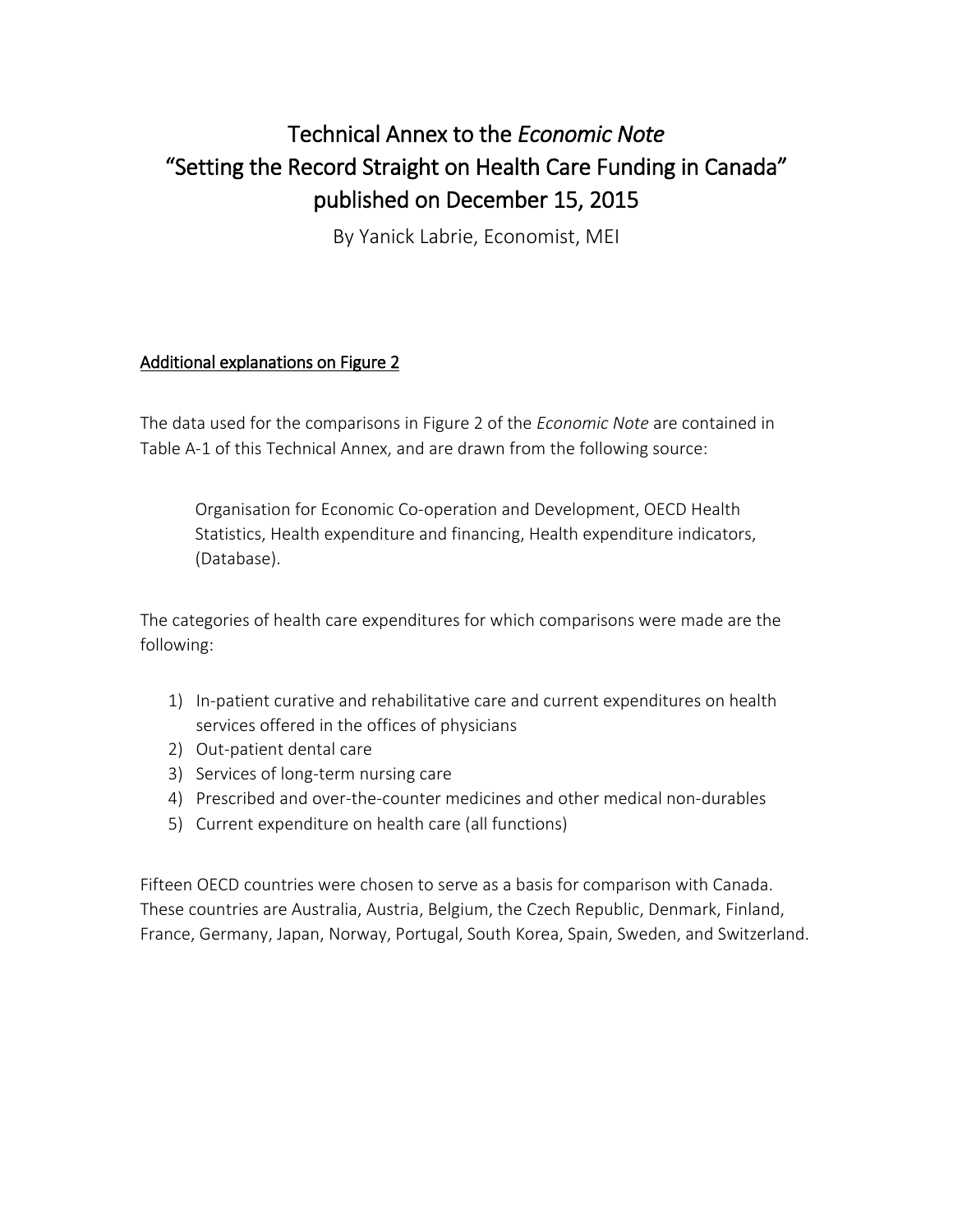# Technical Annex to the *Economic Note*  "Setting the Record Straight on Health Care Funding in Canada" published on December 15, 2015

By Yanick Labrie, Economist, MEI

### Additional explanations on Figure 2

The data used for the comparisons in Figure 2 of the *Economic Note* are contained in Table A-1 of this Technical Annex, and are drawn from the following source:

Organisation for Economic Co-operation and Development, OECD Health Statistics, Health expenditure and financing, Health expenditure indicators, (Database).

The categories of health care expenditures for which comparisons were made are the following:

- 1) In-patient curative and rehabilitative care and current expenditures on health services offered in the offices of physicians
- 2) Out-patient dental care
- 3) Services of long-term nursing care
- 4) Prescribed and over-the-counter medicines and other medical non-durables
- 5) Current expenditure on health care (all functions)

Fifteen OECD countries were chosen to serve as a basis for comparison with Canada. These countries are Australia, Austria, Belgium, the Czech Republic, Denmark, Finland, France, Germany, Japan, Norway, Portugal, South Korea, Spain, Sweden, and Switzerland.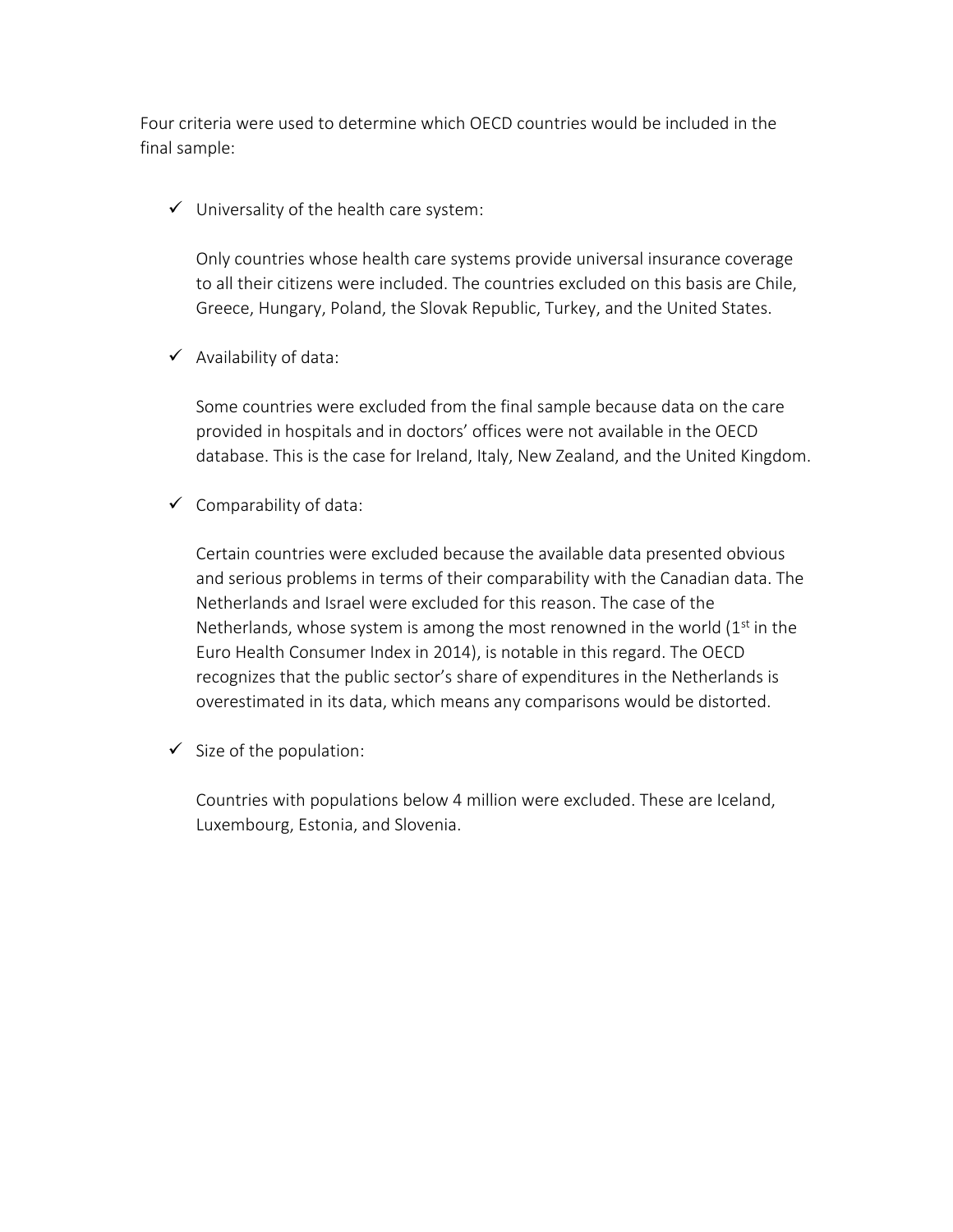Four criteria were used to determine which OECD countries would be included in the final sample:

 $\checkmark$  Universality of the health care system:

Only countries whose health care systems provide universal insurance coverage to all their citizens were included. The countries excluded on this basis are Chile, Greece, Hungary, Poland, the Slovak Republic, Turkey, and the United States.

 $\checkmark$  Availability of data:

Some countries were excluded from the final sample because data on the care provided in hospitals and in doctors' offices were not available in the OECD database. This is the case for Ireland, Italy, New Zealand, and the United Kingdom.

 $\checkmark$  Comparability of data:

Certain countries were excluded because the available data presented obvious and serious problems in terms of their comparability with the Canadian data. The Netherlands and Israel were excluded for this reason. The case of the Netherlands, whose system is among the most renowned in the world  $(1<sup>st</sup>$  in the Euro Health Consumer Index in 2014), is notable in this regard. The OECD recognizes that the public sector's share of expenditures in the Netherlands is overestimated in its data, which means any comparisons would be distorted.

 $\checkmark$  Size of the population:

Countries with populations below 4 million were excluded. These are Iceland, Luxembourg, Estonia, and Slovenia.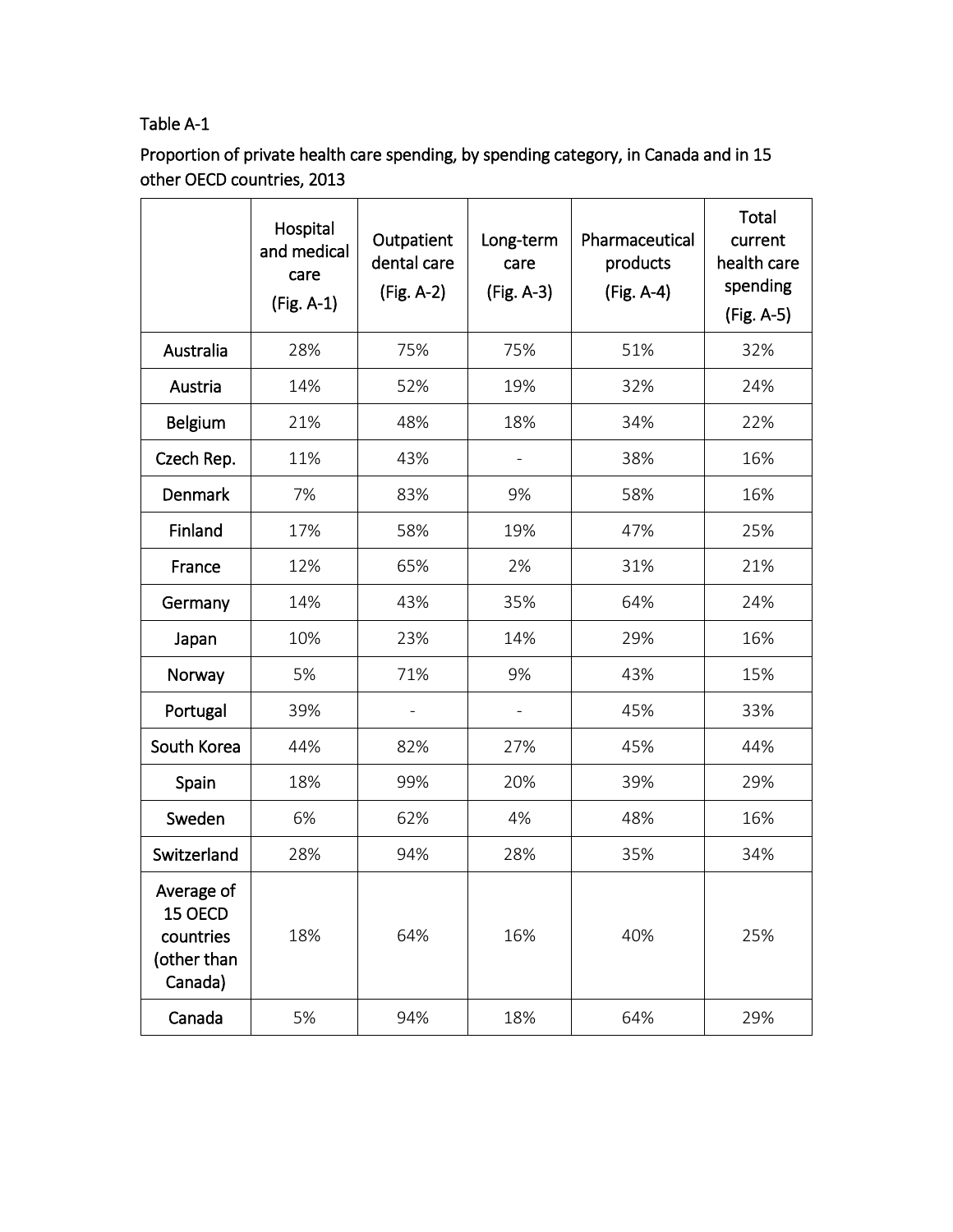# Table A-1

Proportion of private health care spending, by spending category, in Canada and in 15 other OECD countries, 2013

|                                                              | Hospital<br>and medical<br>care<br>(Fig. A-1) | Outpatient<br>dental care<br>(Fig. A-2) | Long-term<br>care<br>(Fig. A-3) | Pharmaceutical<br>products<br>(Fig. A-4) | Total<br>current<br>health care<br>spending<br>(Fig. A-5) |
|--------------------------------------------------------------|-----------------------------------------------|-----------------------------------------|---------------------------------|------------------------------------------|-----------------------------------------------------------|
| Australia                                                    | 28%                                           | 75%                                     | 75%                             | 51%                                      | 32%                                                       |
| Austria                                                      | 14%                                           | 52%                                     | 19%                             | 32%                                      | 24%                                                       |
| <b>Belgium</b>                                               | 21%                                           | 48%                                     | 18%                             | 34%                                      | 22%                                                       |
| Czech Rep.                                                   | 11%                                           | 43%                                     |                                 | 38%                                      | 16%                                                       |
| <b>Denmark</b>                                               | 7%                                            | 83%                                     | 9%                              | 58%                                      | 16%                                                       |
| Finland                                                      | 17%                                           | 58%                                     | 19%                             | 47%                                      | 25%                                                       |
| France                                                       | 12%                                           | 65%                                     | 2%                              | 31%                                      | 21%                                                       |
| Germany                                                      | 14%                                           | 43%                                     | 35%                             | 64%                                      | 24%                                                       |
| Japan                                                        | 10%                                           | 23%                                     | 14%                             | 29%                                      | 16%                                                       |
| Norway                                                       | 5%                                            | 71%                                     | 9%                              | 43%                                      | 15%                                                       |
| Portugal                                                     | 39%                                           |                                         |                                 | 45%                                      | 33%                                                       |
| South Korea                                                  | 44%                                           | 82%                                     | 27%                             | 45%                                      | 44%                                                       |
| Spain                                                        | 18%                                           | 99%                                     | 20%                             | 39%                                      | 29%                                                       |
| Sweden                                                       | 6%                                            | 62%                                     | 4%                              | 48%                                      | 16%                                                       |
| Switzerland                                                  | 28%                                           | 94%                                     | 28%                             | 35%                                      | 34%                                                       |
| Average of<br>15 OECD<br>countries<br>(other than<br>Canada) | 18%                                           | 64%                                     | 16%                             | 40%                                      | 25%                                                       |
| Canada                                                       | 5%                                            | 94%                                     | 18%                             | 64%                                      | 29%                                                       |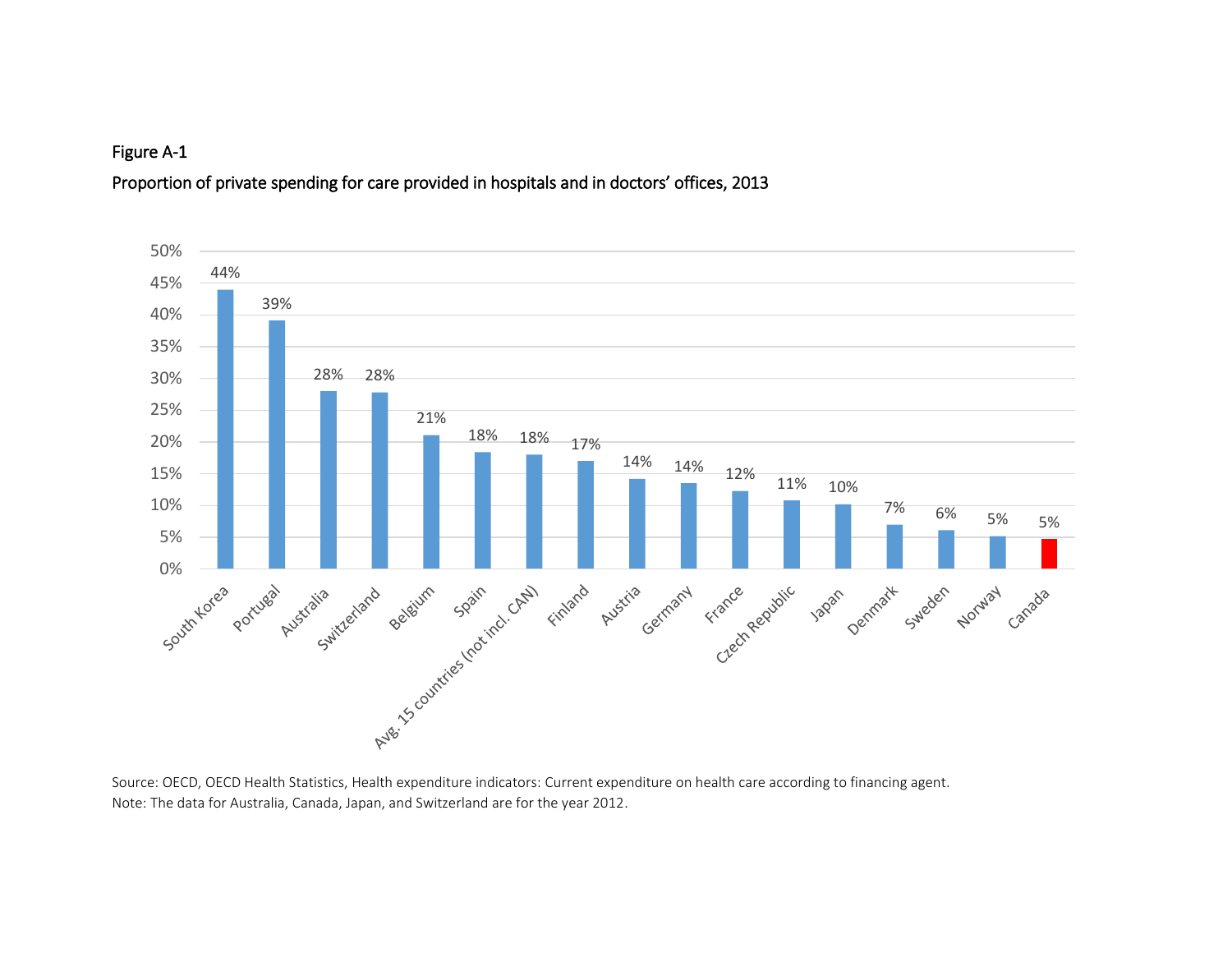Proportion of private spending for care provided in hospitals and in doctors' offices, 2013



Source: OECD, OECD Health Statistics, Health expenditure indicators: Current expenditure on health care according to financing agent. Note: The data for Australia, Canada, Japan, and Switzerland are for the year 2012.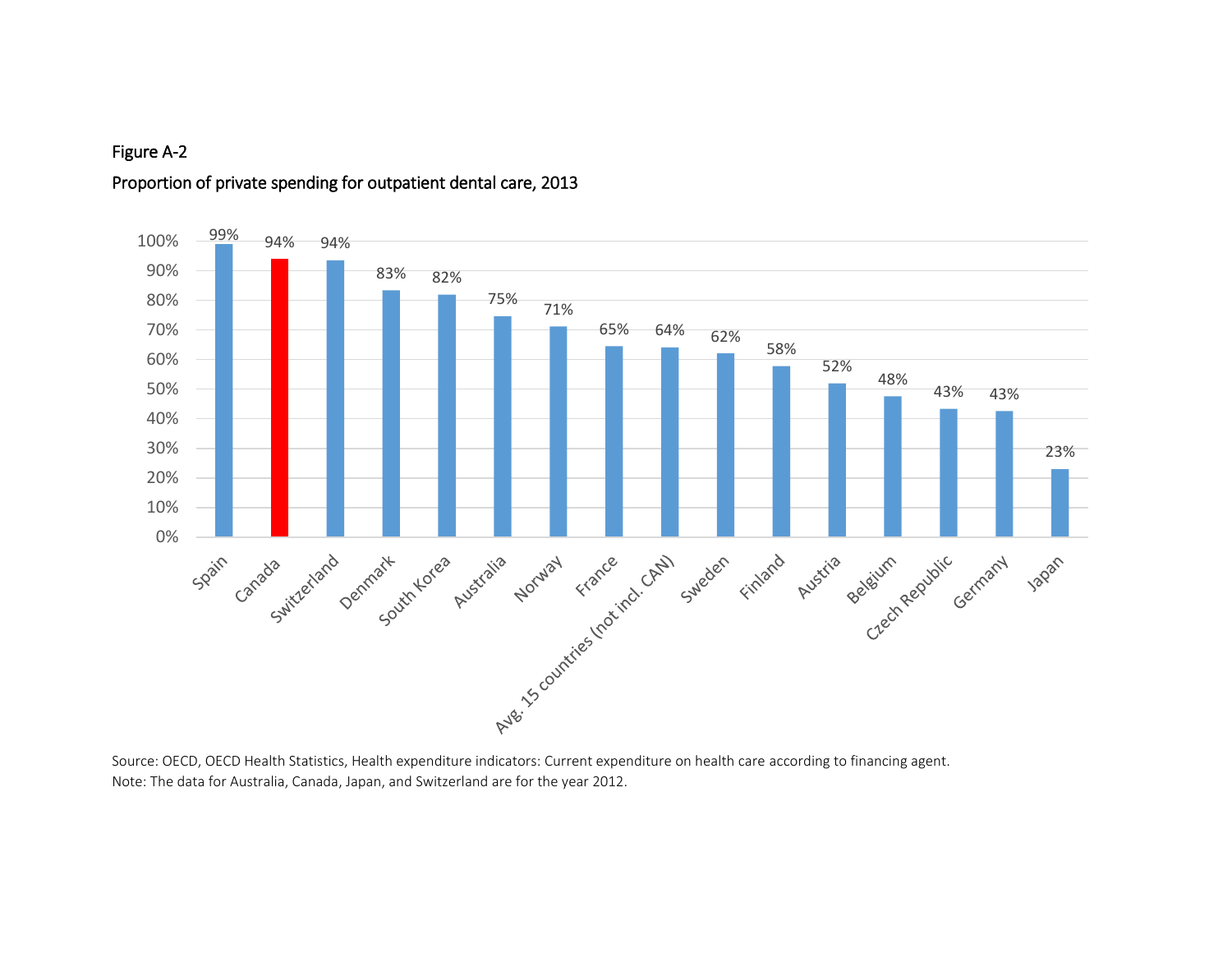## 99% 94% 94% 100%90% 83% 82% 80% 75% 71% 70% 65% 64% 62% 58% 60% 52% 48% 50% 43% 43% 40% 30% 23% 20% 10% 0% Spain caracterize tard Demman Australia Augusta Facture (chair stated filled pustile deliver against carried of

### Proportion of private spending for outpatient dental care, 2013

Source: OECD, OECD Health Statistics, Health expenditure indicators: Current expenditure on health care according to financing agent. Note: The data for Australia, Canada, Japan, and Switzerland are for the year 2012.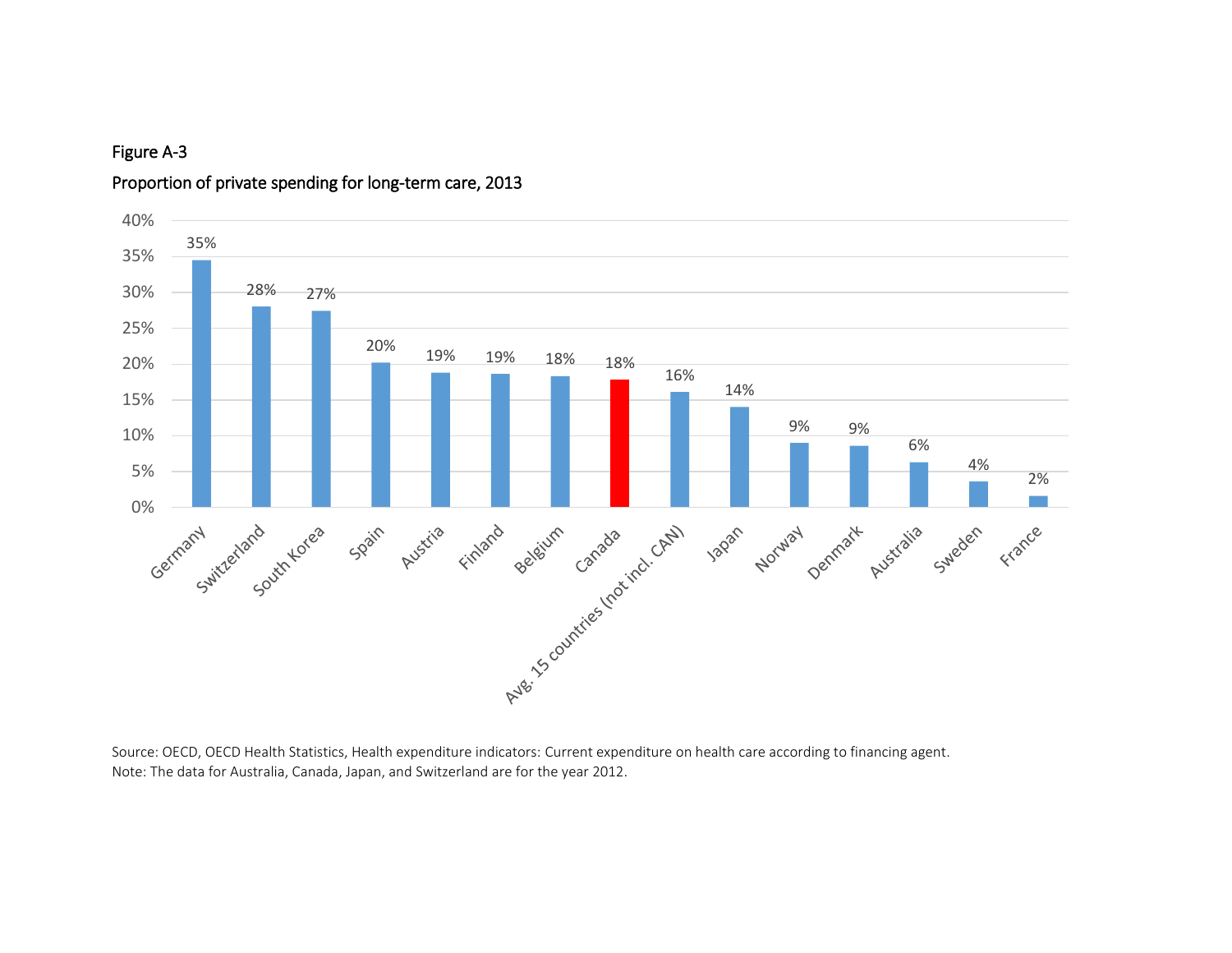

#### Proportion of private spending for long-term care, 2013

Source: OECD, OECD Health Statistics, Health expenditure indicators: Current expenditure on health care according to financing agent. Note: The data for Australia, Canada, Japan, and Switzerland are for the year 2012.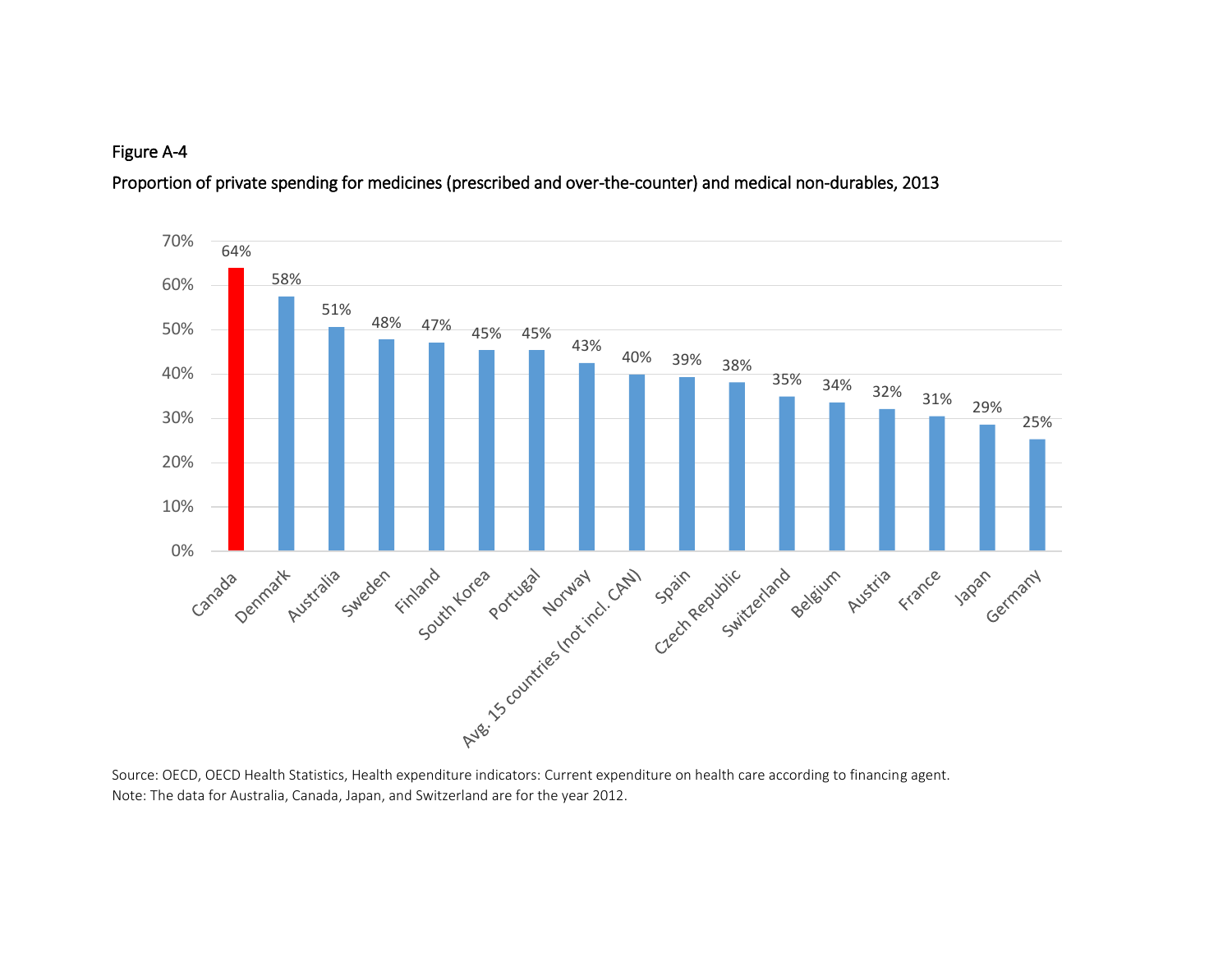Proportion of private spending for medicines (prescribed and over-the-counter) and medical non-durables, 2013



Source: OECD, OECD Health Statistics, Health expenditure indicators: Current expenditure on health care according to financing agent. Note: The data for Australia, Canada, Japan, and Switzerland are for the year 2012.